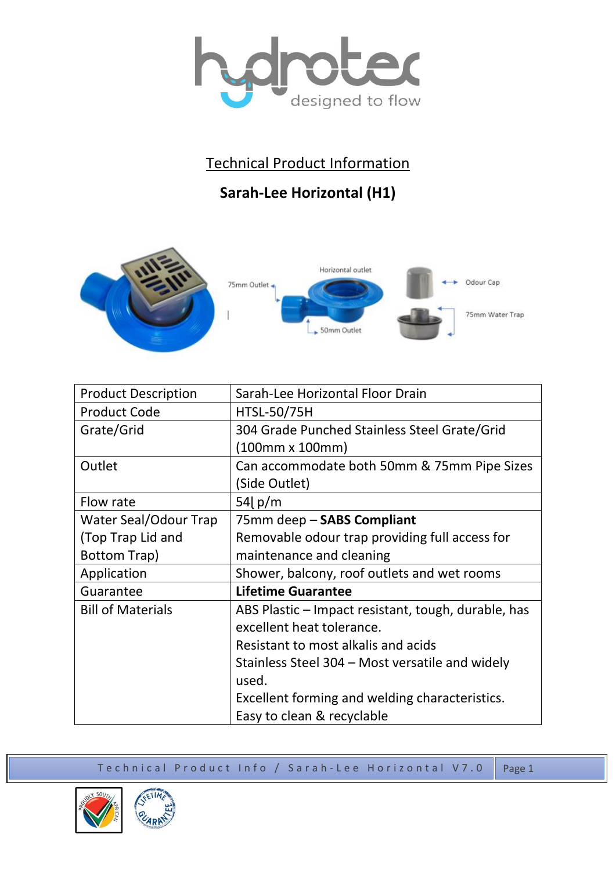

## Technical Product Information

## **Sarah-Lee Horizontal (H1)**



| <b>Product Description</b> | Sarah-Lee Horizontal Floor Drain                    |
|----------------------------|-----------------------------------------------------|
| <b>Product Code</b>        | <b>HTSL-50/75H</b>                                  |
| Grate/Grid                 | 304 Grade Punched Stainless Steel Grate/Grid        |
|                            | (100mm x 100mm)                                     |
| Outlet                     | Can accommodate both 50mm & 75mm Pipe Sizes         |
|                            | (Side Outlet)                                       |
| Flow rate                  | 54 $\vert$ p/m                                      |
| Water Seal/Odour Trap      | 75mm deep - SABS Compliant                          |
| (Top Trap Lid and          | Removable odour trap providing full access for      |
| Bottom Trap)               | maintenance and cleaning                            |
| Application                | Shower, balcony, roof outlets and wet rooms         |
| Guarantee                  | <b>Lifetime Guarantee</b>                           |
| <b>Bill of Materials</b>   | ABS Plastic – Impact resistant, tough, durable, has |
|                            | excellent heat tolerance.                           |
|                            | Resistant to most alkalis and acids                 |
|                            | Stainless Steel 304 – Most versatile and widely     |
|                            | used.                                               |
|                            | Excellent forming and welding characteristics.      |
|                            | Easy to clean & recyclable                          |